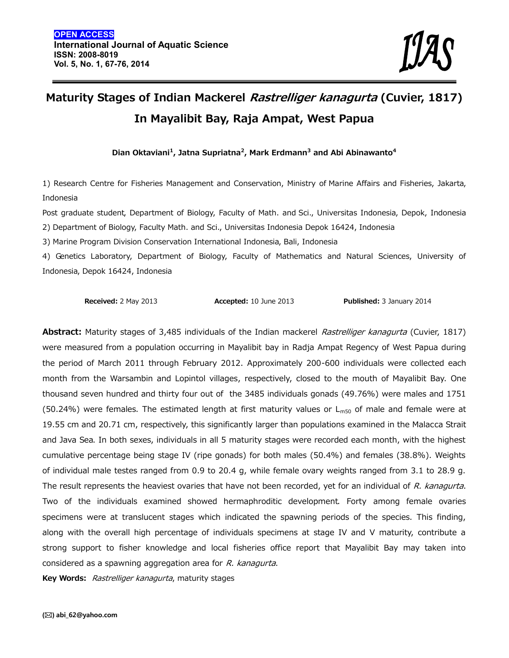# **Maturity Stages of Indian Mackerel** *Rastrelliger kanagurta* **(Cuvier, 1817) In Mayalibit Bay, Raja Ampat, West Papua**

**Dian Oktaviani<sup>1</sup> , Jatna Supriatna<sup>2</sup> , Mark Erdmann<sup>3</sup> and Abi Abinawanto<sup>4</sup>**

1) Research Centre for Fisheries Management and Conservation, Ministry of Marine Affairs and Fisheries, Jakarta, Indonesia

Post graduate student, Department of Biology, Faculty of Math. and Sci., Universitas Indonesia, Depok, Indonesia 2) Department of Biology, Faculty Math. and Sci., Universitas Indonesia Depok 16424, Indonesia

3) Marine Program Division Conservation International Indonesia, Bali, Indonesia

4) Genetics Laboratory, Department of Biology, Faculty of Mathematics and Natural Sciences, University of Indonesia, Depok 16424, Indonesia

**Received:** 2 May 2013 **Accepted:** 10 June 2013 **Published:** 3 January 2014

**Abstract:** Maturity stages of 3,485 individuals of the Indian mackerel *Rastrelliger kanagurta* (Cuvier, 1817) were measured from a population occurring in Mayalibit bay in Radja Ampat Regency of West Papua during the period of March 2011 through February 2012. Approximately 200-600 individuals were collected each month from the Warsambin and Lopintol villages, respectively, closed to the mouth of Mayalibit Bay. One thousand seven hundred and thirty four out of the 3485 individuals gonads (49.76%) were males and 1751 (50.24%) were females. The estimated length at first maturity values or  $L_{m50}$  of male and female were at 19.55 cm and 20.71 cm, respectively, this significantly larger than populations examined in the Malacca Strait and Java Sea. In both sexes, individuals in all 5 maturity stages were recorded each month, with the highest cumulative percentage being stage IV (ripe gonads) for both males (50.4%) and females (38.8%). Weights of individual male testes ranged from 0.9 to 20.4 g, while female ovary weights ranged from 3.1 to 28.9 g. The result represents the heaviest ovaries that have not been recorded, yet for an individual of *R. kanagurta*. Two of the individuals examined showed hermaphroditic development. Forty among female ovaries specimens were at translucent stages which indicated the spawning periods of the species. This finding, along with the overall high percentage of individuals specimens at stage IV and V maturity, contribute a strong support to fisher knowledge and local fisheries office report that Mayalibit Bay may taken into considered as a spawning aggregation area for *R. kanagurta*.

**Key Words:** *Rastrelliger kanagurta*, maturity stages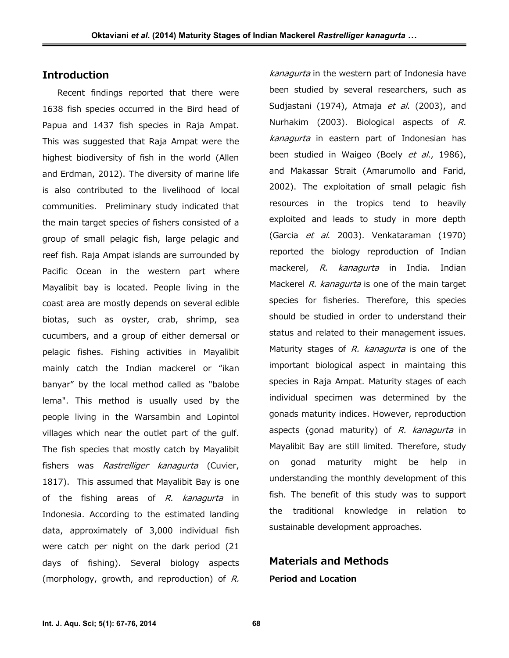# **Introduction**

Recent findings reported that there were 1638 fish species occurred in the Bird head of Papua and 1437 fish species in Raja Ampat. This was suggested that Raja Ampat were the highest biodiversity of fish in the world (Allen and Erdman, 2012). The diversity of marine life is also contributed to the livelihood of local communities. Preliminary study indicated that the main target species of fishers consisted of a group of small pelagic fish, large pelagic and reef fish. Raja Ampat islands are surrounded by Pacific Ocean in the western part where Mayalibit bay is located. People living in the coast area are mostly depends on several edible biotas, such as oyster, crab, shrimp, sea cucumbers, and a group of either demersal or pelagic fishes. Fishing activities in Mayalibit mainly catch the Indian mackerel or "ikan banyar" by the local method called as "balobe lema". This method is usually used by the people living in the Warsambin and Lopintol villages which near the outlet part of the gulf. The fish species that mostly catch by Mayalibit fishers was *Rastrelliger kanagurta* (Cuvier, 1817). This assumed that Mayalibit Bay is one of the fishing areas of *R. kanagurta* in Indonesia. According to the estimated landing the data, approximately of 3,000 individual fish were catch per night on the dark period (21 days of fishing). Several biology aspects (morphology, growth, and reproduction) of *R.*

*kanagurta* in the western part of Indonesia have been studied by several researchers, such as Sudjastani (1974), Atmaja *et al*. (2003), and Nurhakim (2003). Biological aspects of *R. kanagurta* in eastern part of Indonesian has been studied in Waigeo (Boely *et al*., 1986), and Makassar Strait (Amarumollo and Farid, 2002). The exploitation of small pelagic fish resources in the tropics tend to heavily exploited and leads to study in more depth (Garcia *et al*. 2003). Venkataraman (1970) reported the biology reproduction of Indian mackerel, *R. kanagurta* in India. Indian Mackerel *R. kanagurta* is one of the main target species for fisheries. Therefore, this species should be studied in order to understand their status and related to their management issues. Maturity stages of *R. kanagurta* is one of the important biological aspect in maintaing this species in Raja Ampat. Maturity stages of each individual specimen was determined by the gonads maturity indices. However, reproduction aspects (gonad maturity) of *R. kanagurta* in Mayalibit Bay are still limited. Therefore, study on gonad maturity might be help in understanding the monthly development of this fish. The benefit of this study was to support traditional knowledge in relation to sustainable development approaches.

# **Materials and Methods Period and Location**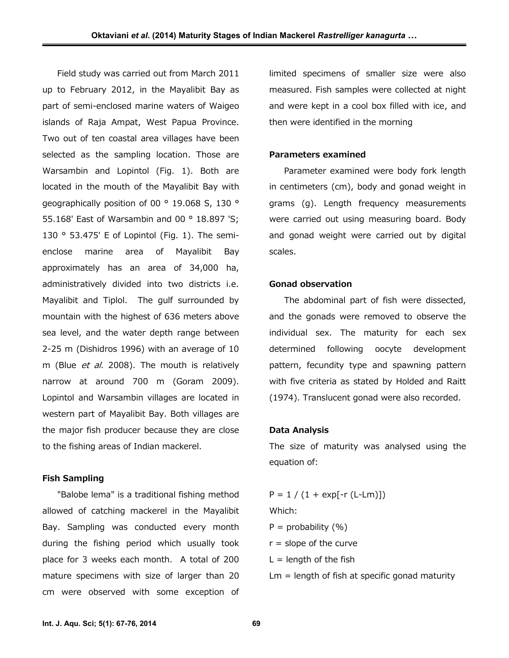Field study was carried out from March 2011 up to February 2012, in the Mayalibit Bay as part of semi-enclosed marine waters of Waigeo islands of Raja Ampat, West Papua Province. Two out of ten coastal area villages have been selected as the sampling location. Those are Warsambin and Lopintol (Fig. 1). Both are located in the mouth of the Mayalibit Bay with geographically position of 00 ° 19.068 S, 130 ° 55.168' East of Warsambin and 00 ° 18.897 'S; 130 ° 53.475' E of Lopintol (Fig. 1). The semi enclose marine area of Mayalibit Bay approximately has an area of 34,000 ha, administratively divided into two districts i.e. Mayalibit and Tiplol. The gulf surrounded by mountain with the highest of 636 meters above sea level, and the water depth range between 2-25 m (Dishidros 1996) with an average of 10 m (Blue *et al*. 2008). The mouth is relatively narrow at around 700 m (Goram 2009). Lopintol and Warsambin villages are located in western part of Mayalibit Bay. Both villages are the major fish producer because they are close to the fishing areas of Indian mackerel.

#### **Fish Sampling**

"Balobe lema" is a traditional fishing method allowed of catching mackerel in the Mayalibit Bay. Sampling was conducted every month during the fishing period which usually took place for 3 weeks each month. A total of 200 mature specimens with size of larger than 20 cm were observed with some exception of

limited specimens of smaller size were also measured. Fish samples were collected at night and were kept in a cool box filled with ice, and then were identified in the morning

#### **Parameters examined**

Parameter examined were body fork length in centimeters (cm), body and gonad weight in grams (g). Length frequency measurements were carried out using measuring board. Body and gonad weight were carried out by digital scales.

#### **Gonad observation**

The abdominal part of fish were dissected, and the gonads were removed to observe the individual sex. The maturity for each sex determined following oocyte development pattern, fecundity type and spawning pattern with five criteria as stated by Holded and Raitt (1974). Translucent gonad were also recorded.

#### **Data Analysis**

The size of maturity was analysed using the equation of:

 $P = 1 / (1 + exp[-r (L-Lm)])$ Which:  $P =$  probability  $(% )$  $r =$  slope of the curve  $L =$  length of the fish  $Lm =$  length of fish at specific gonad maturity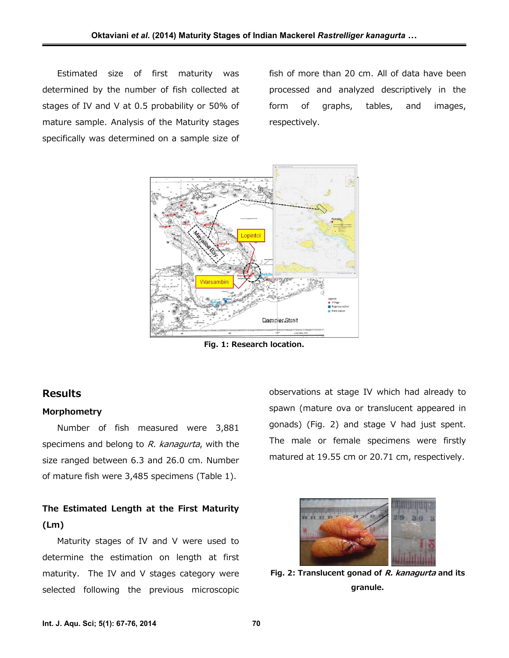Estimated size of first maturity was determined by the number of fish collected at stages of IV and V at 0.5 probability or 50% of mature sample. Analysis of the Maturity stages specifically was determined on a sample size of fish of more than 20 cm. All of data have been processed and analyzed descriptively in the form of graphs, tables, and images, respectively.



**Fig. 1: Research location.**

# **Results**

## **Morphometry**

Number of fish measured were 3,881 specimens and belong to *R. kanagurta*, with the size ranged between 6.3 and 26.0 cm. Number of mature fish were 3,485 specimens (Table 1).

# **The Estimated Length at the First Maturity (Lm)**

Maturity stages of IV and V were used to determine the estimation on length at first maturity. The IV and V stages category were selected following the previous microscopic observations at stage IV which had already to spawn (mature ova or translucent appeared in gonads) (Fig. 2) and stage V had just spent. The male or female specimens were firstly matured at 19.55 cm or 20.71 cm, respectively.



**Fig. 2: Translucent gonad of** *R. kanagurta* **and its granule.**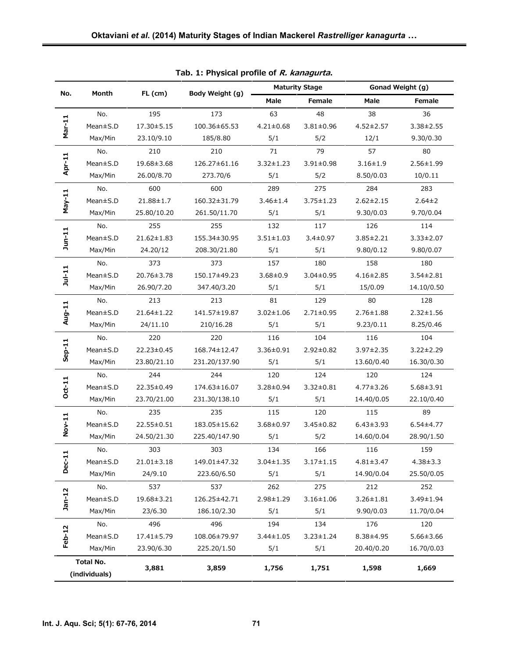| No.                        | Month    | $FL$ (cm)        | Body Weight (g) | <b>Maturity Stage</b> |                 | Gonad Weight (g) |                 |
|----------------------------|----------|------------------|-----------------|-----------------------|-----------------|------------------|-----------------|
|                            |          |                  |                 | Male                  | Female          | Male             | Female          |
| Mar-11                     | No.      | 195              | 173             | 63                    | 48              | 38               | 36              |
|                            | Mean±S.D | 17.30 ± 5.15     | 100.36±65.53    | $4.21 \pm 0.68$       | $3.81 \pm 0.96$ | $4.52 \pm 2.57$  | $3.38 \pm 2.55$ |
|                            | Max/Min  | 23.10/9.10       | 185/8.80        | 5/1                   | 5/2             | 12/1             | 9.30/0.30       |
| Apr-11                     | No.      | 210              | 210             | 71                    | 79              | 57               | 80              |
|                            | Mean±S.D | 19.68±3.68       | 126.27±61.16    | $3.32 \pm 1.23$       | $3.91 \pm 0.98$ | $3.16 \pm 1.9$   | $2.56 \pm 1.99$ |
|                            | Max/Min  | 26.00/8.70       | 273.70/6        | 5/1                   | 5/2             | 8.50/0.03        | 10/0.11         |
| $May-11$                   | No.      | 600              | 600             | 289                   | 275             | 284              | 283             |
|                            | Mean±S.D | 21.88±1.7        | 160.32±31.79    | $3.46 \pm 1.4$        | $3.75 \pm 1.23$ | $2.62 \pm 2.15$  | $2.64 \pm 2$    |
|                            | Max/Min  | 25.80/10.20      | 261.50/11.70    | 5/1                   | 5/1             | 9.30/0.03        | 9.70/0.04       |
| $J$ un-11                  | No.      | 255              | 255             | 132                   | 117             | 126              | 114             |
|                            | Mean±S.D | $21.62 \pm 1.83$ | 155.34±30.95    | $3.51 \pm 1.03$       | $3.4 \pm 0.97$  | $3.85 \pm 2.21$  | 3.33±2.07       |
|                            | Max/Min  | 24.20/12         | 208.30/21.80    | 5/1                   | 5/1             | 9.80/0.12        | 9.80/0.07       |
| $Jul-11$                   | No.      | 373              | 373             | 157                   | 180             | 158              | 180             |
|                            | Mean±S.D | 20.76±3.78       | 150.17±49.23    | $3.68 \pm 0.9$        | $3.04 \pm 0.95$ | $4.16 \pm 2.85$  | $3.54 \pm 2.81$ |
|                            | Max/Min  | 26.90/7.20       | 347.40/3.20     | 5/1                   | 5/1             | 15/0.09          | 14.10/0.50      |
| Aug-11                     | No.      | 213              | 213             | 81                    | 129             | 80               | 128             |
|                            | Mean±S.D | 21.64±1.22       | 141.57±19.87    | $3.02 \pm 1.06$       | $2.71 \pm 0.95$ | $2.76 \pm 1.88$  | $2.32 \pm 1.56$ |
|                            | Max/Min  | 24/11.10         | 210/16.28       | 5/1                   | 5/1             | 9.23/0.11        | 8.25/0.46       |
| $Sep-11$                   | No.      | 220              | 220             | 116                   | 104             | 116              | 104             |
|                            | Mean±S.D | 22.23±0.45       | 168.74±12.47    | 3.36±0.91             | 2.92±0.82       | $3.97 \pm 2.35$  | $3.22 \pm 2.29$ |
|                            | Max/Min  | 23.80/21.10      | 231.20/137.90   | 5/1                   | 5/1             | 13.60/0.40       | 16.30/0.30      |
| $Oct-11$                   | No.      | 244              | 244             | 120                   | 124             | 120              | 124             |
|                            | Mean±S.D | 22.35±0.49       | 174.63±16.07    | 3.28±0.94             | $3.32 \pm 0.81$ | $4.77 \pm 3.26$  | $5.68 \pm 3.91$ |
|                            | Max/Min  | 23.70/21.00      | 231.30/138.10   | 5/1                   | 5/1             | 14.40/0.05       | 22.10/0.40      |
| Nov-11                     | No.      | 235              | 235             | 115                   | 120             | 115              | 89              |
|                            | Mean±S.D | 22.55±0.51       | 183.05±15.62    | $3.68 \pm 0.97$       | $3.45 \pm 0.82$ | $6.43 \pm 3.93$  | $6.54 \pm 4.77$ |
|                            | Max/Min  | 24.50/21.30      | 225.40/147.90   | 5/1                   | 5/2             | 14.60/0.04       | 28.90/1.50      |
| Dec-11                     | No.      | 303              | 303             | 134                   | 166             | 116              | 159             |
|                            | Mean±S.D | $21.01 \pm 3.18$ | 149.01±47.32    | $3.04 \pm 1.35$       | $3.17 \pm 1.15$ | $4.81 \pm 3.47$  | $4.38 \pm 3.3$  |
|                            | Max/Min  | 24/9.10          | 223.60/6.50     | 5/1                   | 5/1             | 14.90/0.04       | 25.50/0.05      |
| $Jan-12$                   | No.      | 537              | 537             | 262                   | 275             | 212              | 252             |
|                            | Mean±S.D | 19.68±3.21       | 126.25±42.71    | 2.98±1.29             | $3.16 \pm 1.06$ | $3.26 \pm 1.81$  | 3.49±1.94       |
|                            | Max/Min  | 23/6.30          | 186.10/2.30     | 5/1                   | 5/1             | 9.90/0.03        | 11.70/0.04      |
| Feb-12                     | No.      | 496              | 496             | 194                   | 134             | 176              | 120             |
|                            | Mean±S.D | 17.41±5.79       | 108.06±79.97    | $3.44 \pm 1.05$       | $3.23 \pm 1.24$ | 8.38±4.95        | $5.66 \pm 3.66$ |
|                            | Max/Min  | 23.90/6.30       | 225.20/1.50     | 5/1                   | 5/1             | 20.40/0.20       | 16.70/0.03      |
| Total No.<br>(individuals) |          | 3,881            | 3,859           | 1,756                 | 1,751           | 1,598            | 1,669           |

**Tab. 1: Physical profile of** *R. kanagurta***.**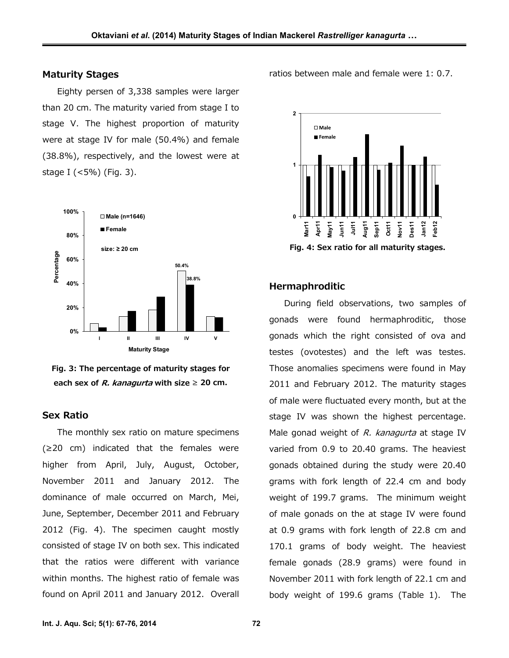## **Maturity Stages**

Eighty persen of 3,338 samples were larger than 20 cm. The maturity varied from stage I to stage V. The highest proportion of maturity were at stage IV for male (50.4%) and female (38.8%), respectively, and the lowest were at stage I (<5%) (Fig. 3).





#### **Sex Ratio**

The monthly sex ratio on mature specimens (≥20 cm) indicated that the females were higher from April, July, August, October, November 2011 and January 2012. The dominance of male occurred on March, Mei, June, September, December 2011 and February 2012 (Fig. 4). The specimen caught mostly consisted of stage IV on both sex. This indicated that the ratios were different with variance within months. The highest ratio of female was found on April 2011 and January 2012. Overall ratios between male and female were 1: 0.7.



#### **Hermaphroditic**

During field observations, two samples of gonads were found hermaphroditic, those gonads which the right consisted of ova and testes (ovotestes) and the left was testes. Those anomalies specimens were found in May 2011 and February 2012. The maturity stages of male were fluctuated every month, but at the stage IV was shown the highest percentage. Male gonad weight of *R. kanagurta* at stage IV varied from 0.9 to 20.40 grams. The heaviest gonads obtained during the study were 20.40 grams with fork length of 22.4 cm and body weight of 199.7 grams. The minimum weight of male gonads on the at stage IV were found at 0.9 grams with fork length of 22.8 cm and 170.1 grams of body weight. The heaviest female gonads (28.9 grams) were found in November 2011 with fork length of 22.1 cm and body weight of 199.6 grams (Table 1). The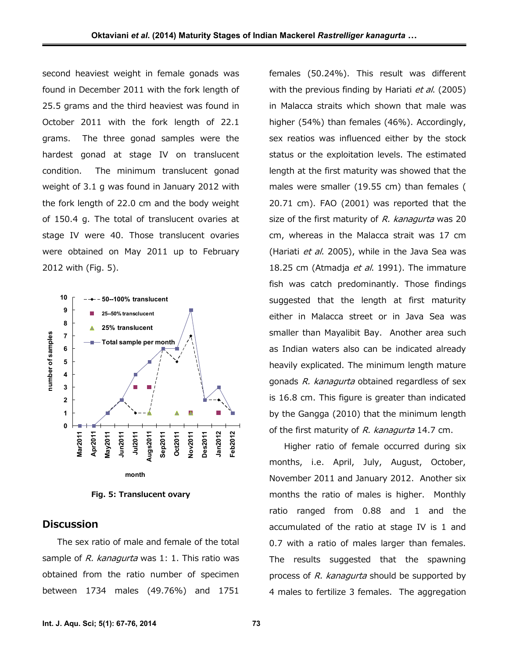second heaviest weight in female gonads was found in December 2011 with the fork length of 25.5 grams and the third heaviest was found in October 2011 with the fork length of 22.1 grams. The three gonad samples were the hardest gonad at stage IV on translucent condition. The minimum translucent gonad weight of 3.1 g was found in January 2012 with the fork length of 22.0 cm and the body weight of 150.4 g. The total of translucent ovaries at stage IV were 40. Those translucent ovaries were obtained on May 2011 up to February 2012 with (Fig. 5).



**Fig. 5: Translucent ovary**

## **Discussion**

The sex ratio of male and female of the total sample of *R. kanagurta* was 1: 1. This ratio was obtained from the ratio number of specimen between 1734 males (49.76%) and 1751 females (50.24%). This result was different with the previous finding by Hariati *et al*. (2005) in Malacca straits which shown that male was higher (54%) than females (46%). Accordingly, sex reatios was influenced either by the stock status or the exploitation levels. The estimated length at the first maturity was showed that the males were smaller (19.55 cm) than females ( 20.71 cm). FAO (2001) was reported that the size of the first maturity of *R. kanagurta* was 20 cm, whereas in the Malacca strait was 17 cm (Hariati *et al*. 2005), while in the Java Sea was 18.25 cm (Atmadja *et al*. 1991). The immature fish was catch predominantly. Those findings suggested that the length at first maturity either in Malacca street or in Java Sea was smaller than Mayalibit Bay. Another area such as Indian waters also can be indicated already heavily explicated. The minimum length mature gonads *R. kanagurta* obtained regardless of sex is 16.8 cm. This figure is greater than indicated by the Gangga (2010) that the minimum length of the first maturity of *R. kanagurta* 14.7 cm.

Higher ratio of female occurred during six months, i.e. April, July, August, October, November 2011 and January 2012. Another six months the ratio of males is higher. Monthly ratio ranged from 0.88 and 1 and the accumulated of the ratio at stage IV is 1 and 0.7 with a ratio of males larger than females. The results suggested that the spawning process of *R. kanagurta* should be supported by 4 males to fertilize 3 females. The aggregation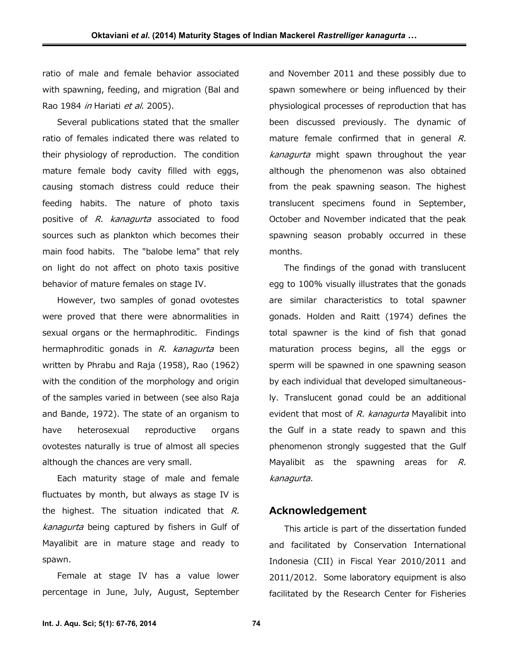ratio of male and female behavior associated with spawning, feeding, and migration (Bal and Rao 1984 *in* Hariati *et al*. 2005).

Several publications stated that the smaller ratio of females indicated there was related to their physiology of reproduction. The condition mature female body cavity filled with eggs, causing stomach distress could reduce their feeding habits. The nature of photo taxis positive of *R. kanagurta* associated to food sources such as plankton which becomes their main food habits. The "balobe lema" that rely on light do not affect on photo taxis positive behavior of mature females on stage IV.

However, two samples of gonad ovotestes were proved that there were abnormalities in sexual organs or the hermaphroditic. Findings hermaphroditic gonads in *R. kanagurta* been written by Phrabu and Raja (1958), Rao (1962) with the condition of the morphology and origin of the samples varied in between (see also Raja and Bande, 1972). The state of an organism to have heterosexual reproductive organs ovotestes naturally is true of almost all species although the chances are very small.

Each maturity stage of male and female fluctuates by month, but always as stage IV is the highest. The situation indicated that *R. kanagurta* being captured by fishers in Gulf of Mayalibit are in mature stage and ready to spawn.

Female at stage IV has a value lower percentage in June, July, August, September and November 2011 and these possibly due to spawn somewhere or being influenced by their physiological processes of reproduction that has been discussed previously. The dynamic of mature female confirmed that in general *R. kanagurta* might spawn throughout the year although the phenomenon was also obtained from the peak spawning season. The highest translucent specimens found in September, October and November indicated that the peak spawning season probably occurred in these months.

The findings of the gonad with translucent egg to 100% visually illustrates that the gonads are similar characteristics to total spawner gonads. Holden and Raitt (1974) defines the total spawner is the kind of fish that gonad maturation process begins, all the eggs or sperm will be spawned in one spawning season by each individual that developed simultaneously. Translucent gonad could be an additional evident that most of *R. kanagurta* Mayalibit into the Gulf in a state ready to spawn and this phenomenon strongly suggested that the Gulf Mayalibit as the spawning areas for *R. kanagurta.*

# **Acknowledgement**

This article is part of the dissertation funded and facilitated by Conservation International Indonesia (CII) in Fiscal Year 2010/2011 and 2011/2012. Some laboratory equipment is also facilitated by the Research Center for Fisheries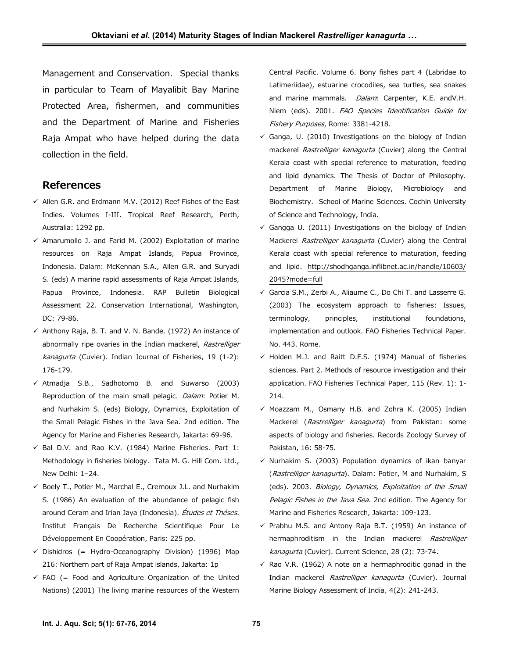Management and Conservation. Special thanks in particular to Team of Mayalibit Bay Marine Protected Area, fishermen, and communities and the Department of Marine and Fisheries Raja Ampat who have helped during the data collection in the field.

## **References**

- $\checkmark$  Allen G.R. and Erdmann M.V. (2012) Reef Fishes of the East Indies. Volumes I-III. Tropical Reef Research, Perth, Australia: 1292 pp.
- $\checkmark$  Amarumollo J. and Farid M. (2002) Exploitation of marine resources on Raja Ampat Islands, Papua Province, Indonesia. Dalam: McKennan S.A., Allen G.R. and Suryadi S. (eds) A marine rapid assessments of Raja Ampat Islands, Papua Province, Indonesia. RAP Bulletin Biological Assessment 22. Conservation International, Washington, DC: 79-86.
- $\checkmark$  Anthony Raja, B. T. and V. N. Bande. (1972) An instance of abnormally ripe ovaries in the Indian mackerel, *Rastrelliger kanagurta* (Cuvier). Indian Journal of Fisheries, 19 (1-2): 176-179.
- $\checkmark$  Atmadja S.B., Sadhotomo B. and Suwarso (2003) Reproduction of the main small pelagic. *Dalam*: Potier M. and Nurhakim S. (eds) Biology, Dynamics, Exploitation of the Small Pelagic Fishes in the Java Sea. 2nd edition. The Agency for Marine and Fisheries Research, Jakarta: 69-96.
- $\checkmark$  Bal D.V. and Rao K.V. (1984) Marine Fisheries. Part 1: Methodology in fisheries biology. Tata M. G. Hill Com. Ltd., New Delhi: 1–24.
- $\checkmark$  Boely T., Potier M., Marchal E., Cremoux J.L. and Nurhakim S. (1986) An evaluation of the abundance of pelagic fish around Ceram and Irian Jaya (Indonesia). *Études et Théses*. Institut Français De Recherche Scientifique Pour Le Développement En Coopération, Paris: 225 pp.
- $\checkmark$  Dishidros (= Hydro-Oceanography Division) (1996) Map 216: Northern part of Raja Ampat islands, Jakarta: 1p
- $\checkmark$  FAO (= Food and Agriculture Organization of the United Nations) (2001) The living marine resources of the Western

Central Pacific. Volume 6. Bony fishes part 4 (Labridae to Latimeriidae), estuarine crocodiles, sea turtles, sea snakes and marine mammals. *Dalam*: Carpenter, K.E. andV.H. Niem (eds). 2001. *FAO Species Identification Guide for Fishery Purposes*, Rome: 3381-4218.

- $\checkmark$  Ganga, U. (2010) Investigations on the biology of Indian mackerel *Rastrelliger kanagurta* (Cuvier) along the Central Kerala coast with special reference to maturation, feeding and lipid dynamics. The Thesis of Doctor of Philosophy. Department of Marine Biology, Microbiology and Biochemistry. School of Marine Sciences. Cochin University of Science and Technology, India.
- $\checkmark$  Gangga U. (2011) Investigations on the biology of Indian Mackerel *Rastrelliger kanagurta* (Cuvier) along the Central Kerala coast with special reference to maturation, feeding and lipid. http://shodhganga.inflibnet.ac.in/handle/10603/ 2045?mode=full
- Garcia S.M., Zerbi A., Aliaume C., Do Chi T. and Lasserre G. (2003) The ecosystem approach to fisheries: Issues, terminology, principles, institutional foundations, implementation and outlook. FAO Fisheries Technical Paper. No. 443. Rome.
- $\checkmark$  Holden M.J. and Raitt D.F.S. (1974) Manual of fisheries sciences. Part 2. Methods of resource investigation and their application. FAO Fisheries Technical Paper, 115 (Rev. 1): 1- 214.
- $\checkmark$  Moazzam M., Osmany H.B. and Zohra K. (2005) Indian Mackerel (*Rastrelliger kanagurta*) from Pakistan: some aspects of biology and fisheries. Records Zoology Survey of Pakistan, 16: 58-75.
- $\checkmark$  Nurhakim S. (2003) Population dynamics of ikan banyar (*Rastrelliger kanagurta*). Dalam: Potier, M and Nurhakim, S (eds). 2003. *Biology, Dynamics, Exploitation of the Small Pelagic Fishes in the Java Sea*. 2nd edition. The Agency for Marine and Fisheries Research, Jakarta: 109-123.
- $\checkmark$  Prabhu M.S. and Antony Raja B.T. (1959) An instance of hermaphroditism in the Indian mackerel *Rastrelliger kanagurta* (Cuvier). Current Science, 28 (2): 73-74.
- $\checkmark$  Rao V.R. (1962) A note on a hermaphroditic gonad in the Indian mackerel *Rastrelliger kanagurta* (Cuvier). Journal Marine Biology Assessment of India*,* 4(2): 241-243.